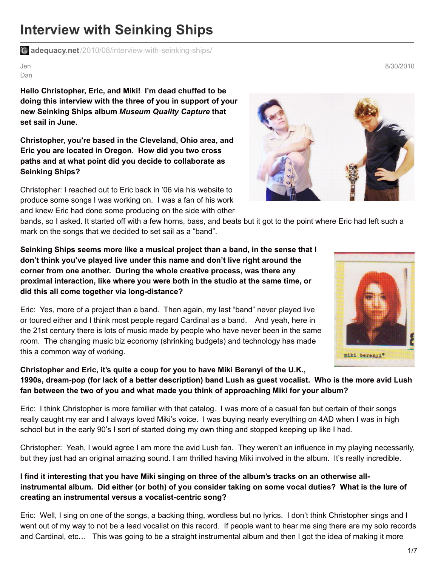# **Interview with Seinking Ships**

**adequacy.net**[/2010/08/interview-with-seinking-ships/](http://www.adequacy.net/2010/08/interview-with-seinking-ships/)

Jen Dan

**Hello Christopher, Eric, and Miki! I'm dead chuffed to be doing this interview with the three of you in support of your new Seinking Ships album** *Museum Quality Capture* **that set sail in June.**

**Christopher, you're based in the Cleveland, Ohio area, and Eric you are located in Oregon. How did you two cross paths and at what point did you decide to collaborate as Seinking Ships?**

Christopher: I reached out to Eric back in '06 via his website to produce some songs I was working on. I was a fan of his work and knew Eric had done some producing on the side with other

bands, so I asked. It started off with a few horns, bass, and beats but it got to the point where Eric had left such a mark on the songs that we decided to set sail as a "band".

**Seinking Ships seems more like a musical project than a band, in the sense that I don't think you've played live under this name and don't live right around the corner from one another. During the whole creative process, was there any proximal interaction, like where you were both in the studio at the same time, or did this all come together via long-distance?**

Eric: Yes, more of a project than a band. Then again, my last "band" never played live or toured either and I think most people regard Cardinal as a band. And yeah, here in the 21st century there is lots of music made by people who have never been in the same room. The changing music biz economy (shrinking budgets) and technology has made this a common way of working.

**Christopher and Eric, it's quite a coup for you to have Miki Berenyi of the U.K.,** 1990s, dream-pop (for lack of a better description) band Lush as guest vocalist. Who is the more avid Lush **fan between the two of you and what made you think of approaching Miki for your album?**

Eric: I think Christopher is more familiar with that catalog. I was more of a casual fan but certain of their songs really caught my ear and I always loved Miki's voice. I was buying nearly everything on 4AD when I was in high school but in the early 90's I sort of started doing my own thing and stopped keeping up like I had.

Christopher: Yeah, I would agree I am more the avid Lush fan. They weren't an influence in my playing necessarily, but they just had an original amazing sound. I am thrilled having Miki involved in the album. It's really incredible.

#### I find it interesting that you have Miki singing on three of the album's tracks on an otherwise allinstrumental album. Did either (or both) of you consider taking on some vocal duties? What is the lure of **creating an instrumental versus a vocalist-centric song?**

Eric: Well, I sing on one of the songs, a backing thing, wordless but no lyrics. I don't think Christopher sings and I went out of my way to not be a lead vocalist on this record. If people want to hear me sing there are my solo records and Cardinal, etc… This was going to be a straight instrumental album and then I got the idea of making it more





8/30/2010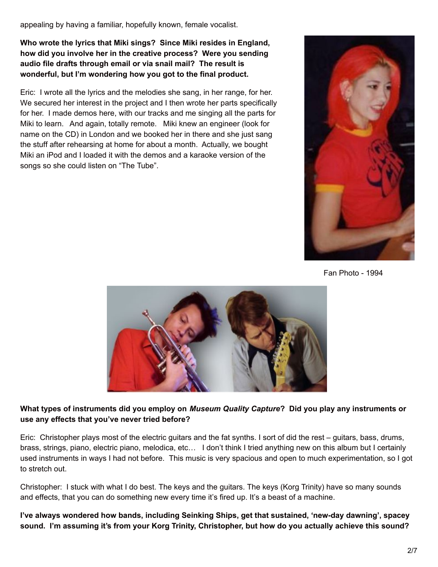appealing by having a familiar, hopefully known, female vocalist.

**Who wrote the lyrics that Miki sings? Since Miki resides in England, how did you involve her in the creative process? Were you sending audio file drafts through email or via snail mail? The result is wonderful, but I'm wondering how you got to the final product.**

Eric: I wrote all the lyrics and the melodies she sang, in her range, for her. We secured her interest in the project and I then wrote her parts specifically for her. I made demos here, with our tracks and me singing all the parts for Miki to learn. And again, totally remote. Miki knew an engineer (look for name on the CD) in London and we booked her in there and she just sang the stuff after rehearsing at home for about a month. Actually, we bought Miki an iPod and I loaded it with the demos and a karaoke version of the songs so she could listen on "The Tube".



Fan Photo - 1994



#### What types of instruments did you employ on Museum Quality Capture? Did you play any instruments or **use any effects that you've never tried before?**

Eric: Christopher plays most of the electric guitars and the fat synths. I sort of did the rest – guitars, bass, drums, brass, strings, piano, electric piano, melodica, etc… I don't think I tried anything new on this album but I certainly used instruments in ways I had not before. This music is very spacious and open to much experimentation, so I got to stretch out.

Christopher: I stuck with what I do best. The keys and the guitars. The keys (Korg Trinity) have so many sounds and effects, that you can do something new every time it's fired up. It's a beast of a machine.

**I've always wondered how bands, including Seinking Ships, get that sustained, 'new-day dawning', spacey sound. I'm assuming it's from your Korg Trinity, Christopher, but how do you actually achieve this sound?**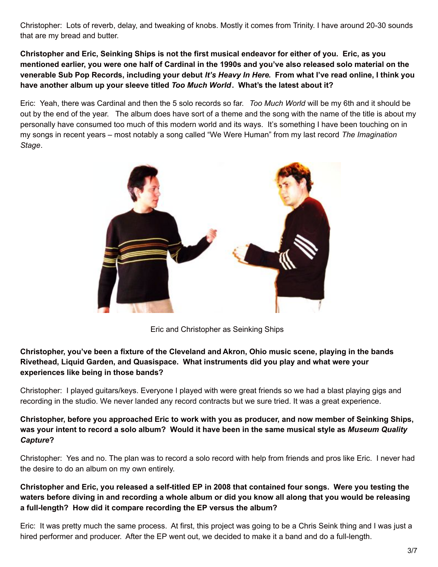Christopher: Lots of reverb, delay, and tweaking of knobs. Mostly it comes from Trinity. I have around 20-30 sounds that are my bread and butter.

Christopher and Eric, Seinking Ships is not the first musical endeavor for either of you. Eric, as you mentioned earlier, vou were one half of Cardinal in the 1990s and vou've also released solo material on the venerable Sub Pop Records, including your debut It's Heavy In Here. From what I've read online, I think you **have another album up your sleeve titled** *Too Much World***. What's the latest about it?**

Eric: Yeah, there was Cardinal and then the 5 solo records so far. *Too Much World* will be my 6th and it should be out by the end of the year. The album does have sort of a theme and the song with the name of the title is about my personally have consumed too much of this modern world and its ways. It's something I have been touching on in my songs in recent years – most notably a song called "We Were Human" from my last record *The Imagination Stage*.



Eric and Christopher as Seinking Ships

#### **Christopher, you've been a fixture of the Cleveland and Akron, Ohio music scene, playing in the bands Rivethead, Liquid Garden, and Quasispace. What instruments did you play and what were your experiences like being in those bands?**

Christopher: I played guitars/keys. Everyone I played with were great friends so we had a blast playing gigs and recording in the studio. We never landed any record contracts but we sure tried. It was a great experience.

#### **Christopher, before you approached Eric to work with you as producer, and now member of Seinking Ships,** was your intent to record a solo album? Would it have been in the same musical style as Museum Quality *Capture***?**

Christopher: Yes and no. The plan was to record a solo record with help from friends and pros like Eric. I never had the desire to do an album on my own entirely.

# Christopher and Eric, you released a self-titled EP in 2008 that contained four songs. Were you testing the waters before diving in and recording a whole album or did you know all along that you would be releasing **a full-length? How did it compare recording the EP versus the album?**

Eric: It was pretty much the same process. At first, this project was going to be a Chris Seink thing and I was just a hired performer and producer. After the EP went out, we decided to make it a band and do a full-length.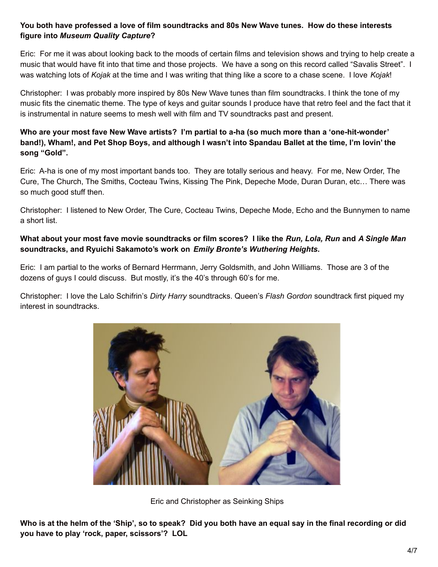# **You both have professed a love of film soundtracks and 80s New Wave tunes. How do these interests figure into** *Museum Quality Capture***?**

Eric: For me it was about looking back to the moods of certain films and television shows and trying to help create a music that would have fit into that time and those projects. We have a song on this record called "Savalis Street". I was watching lots of *Kojak* at the time and I was writing that thing like a score to a chase scene. I love *Kojak*!

Christopher: I was probably more inspired by 80s New Wave tunes than film soundtracks. I think the tone of my music fits the cinematic theme. The type of keys and guitar sounds I produce have that retro feel and the fact that it is instrumental in nature seems to mesh well with film and TV soundtracks past and present.

# **Who are your most fave New Wave artists? I'm partial to a-ha (so much more than a 'one-hit-wonder'** band!), Wham!, and Pet Shop Boys, and although I wasn't into Spandau Ballet at the time, I'm lovin' the **song "Gold".**

Eric: A-ha is one of my most important bands too. They are totally serious and heavy. For me, New Order, The Cure, The Church, The Smiths, Cocteau Twins, Kissing The Pink, Depeche Mode, Duran Duran, etc… There was so much good stuff then.

Christopher: I listened to New Order, The Cure, Cocteau Twins, Depeche Mode, Echo and the Bunnymen to name a short list.

# What about your most fave movie soundtracks or film scores? I like the Run, Lola, Run and A Single Man **soundtracks, and Ryuichi Sakamoto's work on** *Emily Bronte's Wuthering Heights***.**

Eric: I am partial to the works of Bernard Herrmann, Jerry Goldsmith, and John Williams. Those are 3 of the dozens of guys I could discuss. But mostly, it's the 40's through 60's for me.

Christopher: I love the Lalo Schifrin's *Dirty Harry* soundtracks. Queen's *Flash Gordon* soundtrack first piqued my interest in soundtracks.



Eric and Christopher as Seinking Ships

Who is at the helm of the 'Ship', so to speak? Did you both have an equal say in the final recording or did **you have to play 'rock, paper, scissors'? LOL**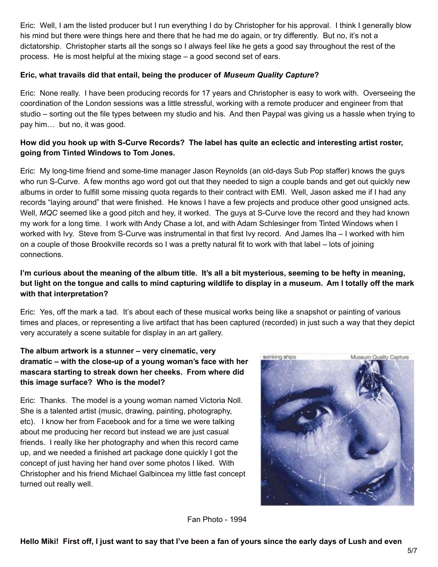Eric: Well, I am the listed producer but I run everything I do by Christopher for his approval. I think I generally blow his mind but there were things here and there that he had me do again, or try differently. But no, it's not a dictatorship. Christopher starts all the songs so I always feel like he gets a good say throughout the rest of the process. He is most helpful at the mixing stage – a good second set of ears.

#### **Eric, what travails did that entail, being the producer of** *Museum Quality Capture***?**

Eric: None really. I have been producing records for 17 years and Christopher is easy to work with. Overseeing the coordination of the London sessions was a little stressful, working with a remote producer and engineer from that studio – sorting out the file types between my studio and his. And then Paypal was giving us a hassle when trying to pay him… but no, it was good.

# How did you hook up with S-Curve Records? The label has quite an eclectic and interesting artist roster, **going from Tinted Windows to Tom Jones.**

Eric: My long-time friend and some-time manager Jason Reynolds (an old-days Sub Pop staffer) knows the guys who run S-Curve. A few months ago word got out that they needed to sign a couple bands and get out quickly new albums in order to fulfill some missing quota regards to their contract with EMI. Well, Jason asked me if I had any records "laying around" that were finished. He knows I have a few projects and produce other good unsigned acts. Well, MQC seemed like a good pitch and hey, it worked. The guys at S-Curve love the record and they had known my work for a long time. I work with Andy Chase a lot, and with Adam Schlesinger from Tinted Windows when I worked with Ivy. Steve from S-Curve was instrumental in that first Ivy record. And James Iha – I worked with him on a couple of those Brookville records so I was a pretty natural fit to work with that label – lots of joining connections.

# I'm curious about the meaning of the album title. It's all a bit mysterious, seeming to be hefty in meaning, but light on the tongue and calls to mind capturing wildlife to display in a museum. Am I totally off the mark **with that interpretation?**

Eric: Yes, off the mark a tad. It's about each of these musical works being like a snapshot or painting of various times and places, or representing a live artifact that has been captured (recorded) in just such a way that they depict very accurately a scene suitable for display in an art gallery.

# **The album artwork is a stunner – very cinematic, very dramatic – with the close-up of a young woman's face with her mascara starting to streak down her cheeks. From where did this image surface? Who is the model?**

Eric: Thanks. The model is a young woman named Victoria Noll. She is a talented artist (music, drawing, painting, photography, etc). I know her from Facebook and for a time we were talking about me producing her record but instead we are just casual friends. I really like her photography and when this record came up, and we needed a finished art package done quickly I got the concept of just having her hand over some photos I liked. With Christopher and his friend Michael Galbincea my little fast concept turned out really well.



Fan Photo - 1994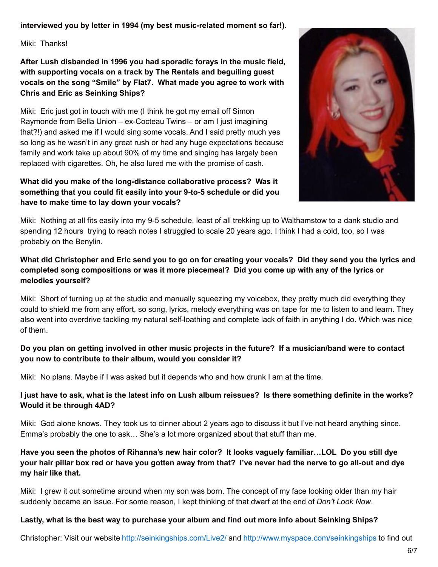# **interviewed you by letter in 1994 (my best music-related moment so far!).**

Miki: Thanks!

**After Lush disbanded in 1996 you had sporadic forays in the music field, with supporting vocals on a track by The Rentals and beguiling guest vocals on the song "Smile" by Flat7. What made you agree to work with Chris and Eric as Seinking Ships?**

Miki: Eric just got in touch with me (I think he got my email off Simon Raymonde from Bella Union – ex-Cocteau Twins – or am I just imagining that?!) and asked me if I would sing some vocals. And I said pretty much yes so long as he wasn't in any great rush or had any huge expectations because family and work take up about 90% of my time and singing has largely been replaced with cigarettes. Oh, he also lured me with the promise of cash.

### **What did you make of the long-distance collaborative process? Was it something that you could fit easily into your 9-to-5 schedule or did you have to make time to lay down your vocals?**



Miki: Nothing at all fits easily into my 9-5 schedule, least of all trekking up to Walthamstow to a dank studio and spending 12 hours trying to reach notes I struggled to scale 20 years ago. I think I had a cold, too, so I was probably on the Benylin.

# What did Christopher and Eric send you to go on for creating your vocals? Did they send you the lyrics and **completed song compositions or was it more piecemeal? Did you come up with any of the lyrics or melodies yourself?**

Miki: Short of turning up at the studio and manually squeezing my voicebox, they pretty much did everything they could to shield me from any effort, so song, lyrics, melody everything was on tape for me to listen to and learn. They also went into overdrive tackling my natural self-loathing and complete lack of faith in anything I do. Which was nice of them.

# Do you plan on getting involved in other music projects in the future? If a musician/band were to contact **you now to contribute to their album, would you consider it?**

Miki: No plans. Maybe if I was asked but it depends who and how drunk I am at the time.

#### I just have to ask, what is the latest info on Lush album reissues? Is there something definite in the works? **Would it be through 4AD?**

Miki: God alone knows. They took us to dinner about 2 years ago to discuss it but I've not heard anything since. Emma's probably the one to ask… She's a lot more organized about that stuff than me.

# Have you seen the photos of Rihanna's new hair color? It looks vaguely familiar...LOL Do you still dye your hair pillar box red or have you gotten away from that? I've never had the nerve to go all-out and dye **my hair like that.**

Miki: I grew it out sometime around when my son was born. The concept of my face looking older than my hair suddenly became an issue. For some reason, I kept thinking of that dwarf at the end of *Don't Look Now*.

#### **Lastly, what is the best way to purchase your album and find out more info about Seinking Ships?**

Christopher: Visit our website <http://seinkingships.com/Live2/> and <http://www.myspace.com/seinkingships> to find out